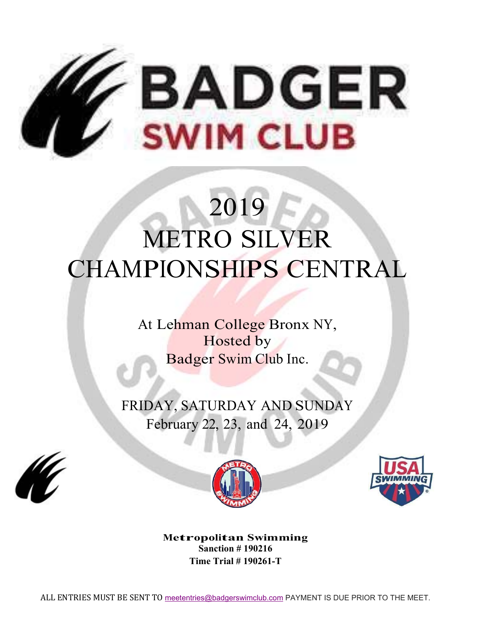

# 2019 METRO SILVER CHAMPIONSHIPS CENTRAL

At Lehman College Bronx NY, Hosted by Badger Swim Club Inc.

FRIDAY, SATURDAY AND SUNDAY February 22, 23, and 24, 2019







**Metropolitan Swimming Sanction # 190216 Time Trial # 190261-T**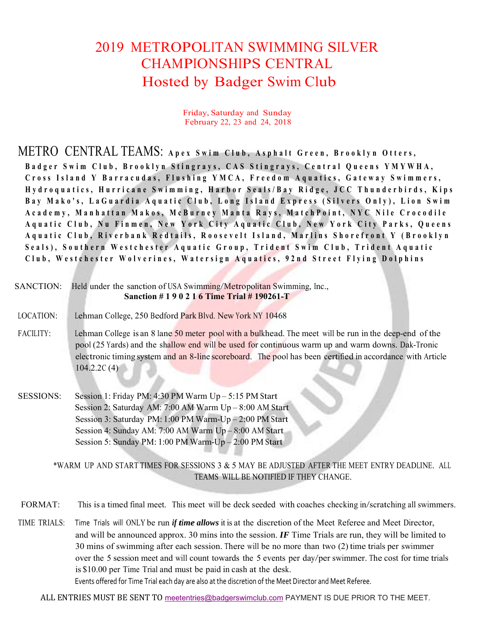## 2019 METROPOLITAN SWIMMING SILVER CHAMPIONSHIPS CENTRAL Hosted by Badger Swim Club

Friday, Saturday and Sunday February 22, 23 and 24, 2018

METRO CENTRAL TEAMS: **Apex Swim Club, Asphalt G reen, Brooklyn Otters,** 

Badger Swim Club, Brooklyn Stingrays, CAS Stingrays, Central Queens YMYWHA, Cross Island Y Barracudas, Flushing YMCA, Freedom Aquatics, Gateway Swimmers, **Hydroquatics, Hurricane Swimming , Harbor Seals/Bay Ridge, JCC T hunderbirds, Kips**  Bay Mako's, LaGuardia Aquatic Club, Long Island Express (Silvers Only), Lion Swim Academy, Manhattan Makos, McBurney Manta Rays, MatchPoint, NYC Nile Crocodile **Aquatic Club, Nu Finmen, New York City Aquatic Club, New York C ity Parks, Queens Aquatic Club, Riverbank Redtails , Roosevelt Island, Marlins Sho refront Y (Brooklyn Seals), Southern Westchester Aquatic Group, Trident Swim Club, Trident Aquatic Club, Westchester Wolverines, Watersign Aquatics, 92nd Street F lying Dolphins**

| SANCTION:        | Held under the sanction of USA Swimming/Metropolitan Swimming, Inc.,<br>Sanction #190216 Time Trial #190261-T                                                                                                                                                                                                                            |
|------------------|------------------------------------------------------------------------------------------------------------------------------------------------------------------------------------------------------------------------------------------------------------------------------------------------------------------------------------------|
| LOCATION:        | Lehman College, 250 Bedford Park Blvd. New York NY 10468                                                                                                                                                                                                                                                                                 |
| <b>FACILITY:</b> | Lehman College is an 8 lane 50 meter pool with a bulkhead. The meet will be run in the deep-end of the<br>pool (25 Yards) and the shallow end will be used for continuous warm up and warm downs. Dak-Tronic<br>electronic timing system and an 8-line scoreboard. The pool has been certified in accordance with Article<br>104.2.2C(4) |

SESSIONS: Session 1: Friday PM: 4:30 PM Warm Up – 5:15 PM Start Session 2: Saturday AM: 7:00 AM Warm Up – 8:00 AM Start Session 3: Saturday PM: 1:00 PM Warm-Up – 2:00 PM Start Session 4: Sunday AM: 7:00 AM Warm Up – 8:00 AM Start Session 5: Sunday PM: 1:00 PM Warm-Up – 2:00 PM Start

> \*WARM UP AND START TIMES FOR SESSIONS 3 & 5 MAY BE ADJUSTED AFTER THE MEET ENTRY DEADLINE. ALL TEAMS WILL BE NOTIFIED IF THEY CHANGE.

- FORMAT: This is a timed final meet. This meet will be deck seeded with coaches checking in/scratching all swimmers.
- TIME TRIALS: Time Trials will ONLY be run *if time allows* it is at the discretion of the Meet Referee and Meet Director, and will be announced approx. 30 mins into the session. *IF* Time Trials are run, they will be limited to 30 mins of swimming after each session. There will be no more than two (2) time trials per swimmer over the 5 session meet and will count towards the 5 events per day/per swimmer. The cost for time trials is \$10.00 per Time Trial and must be paid in cash at the desk. Events offered for Time Trial each day are also at the discretion of the Meet Director and Meet Referee.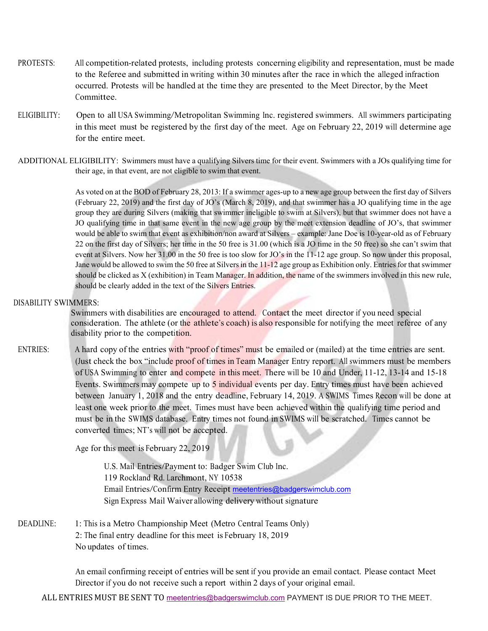- PROTESTS: All competition-related protests, including protests concerning eligibility and representation, must be made to the Referee and submitted in writing within 30 minutes after the race in which the alleged infraction occurred. Protests will be handled at the time they are presented to the Meet Director, by the Meet Committee.
- ELIGIBILITY: Open to all USA Swimming/Metropolitan Swimming Inc. registered swimmers. All swimmers participating in this meet must be registered by the first day of the meet. Age on February 22, 2019 will determine age for the entire meet.
- ADDITIONAL ELIGIBILITY: Swimmers must have a qualifying Silvers time for their event. Swimmers with a JOs qualifying time for their age, in that event, are not eligible to swim that event.

 As voted on at the BOD of February 28, 2013: If a swimmer ages-up to a new age group between the first day of Silvers (February 22, 2019) and the first day of JO's (March 8, 2019), and that swimmer has a JO qualifying time in the age group they are during Silvers (making that swimmer ineligible to swim at Silvers), but that swimmer does not have a JO qualifying time in that same event in the new age group by the meet extension deadline of JO's, that swimmer would be able to swim that event as exhibition/non award at Silvers – example: Jane Doe is 10-year-old as of February 22 on the first day of Silvers; her time in the 50 free is 31.00 (which is a JO time in the 50 free) so she can't swim that event at Silvers. Now her 31.00 in the 50 free is too slow for JO's in the 11-12 age group. So now under this proposal, Jane would be allowed to swim the 50 free at Silvers in the 11-12 age group as Exhibition only. Entries for that swimmer should be clicked as X (exhibition) in Team Manager. In addition, the name of the swimmers involved in this new rule, should be clearly added in the text of the Silvers Entries.

#### DISABILITY SWIMMERS:

Swimmers with disabilities are encouraged to attend. Contact the meet director if you need special consideration. The athlete (or the athlete's coach) is also responsible for notifying the meet referee of any disability prior to the competition.

ENTRIES: A hard copy of the entries with "proof of times" must be emailed or (mailed) at the time entries are sent. (Just check the box "include proof of times in Team Manager Entry report. All swimmers must be members of USA Swimming to enter and compete in this meet. There will be 10 and Under, 11-12, 13-14 and 15-18 Events. Swimmers may compete up to 5 individual events per day. Entry times must have been achieved between January 1, 2018 and the entry deadline, February 14, 2019. A SWIMS Times Recon will be done at least one week prior to the meet. Times must have been achieved within the qualifying time period and must be in the SWIMS database. Entry times not found in SWIMS will be scratched. Times cannot be converted times; NT's will not be accepted.

Age for this meet is February 22, 2019

U.S. Mail Entries/Payment to: Badger Swim Club Inc. 119 Rockland Rd. Larchmont, NY 10538 Email Entries/Confirm Entry Receipt meetentries@badgerswimclub.com Sign Express Mail Waiver allowing delivery without signature

DEADLINE: 1: This is a Metro Championship Meet (Metro Central Teams Only) 2: The final entry deadline for this meet is February 18, 2019 No updates of times.

> An email confirming receipt of entries will be sent if you provide an email contact. Please contact Meet Director if you do not receive such a report within 2 days of your original email.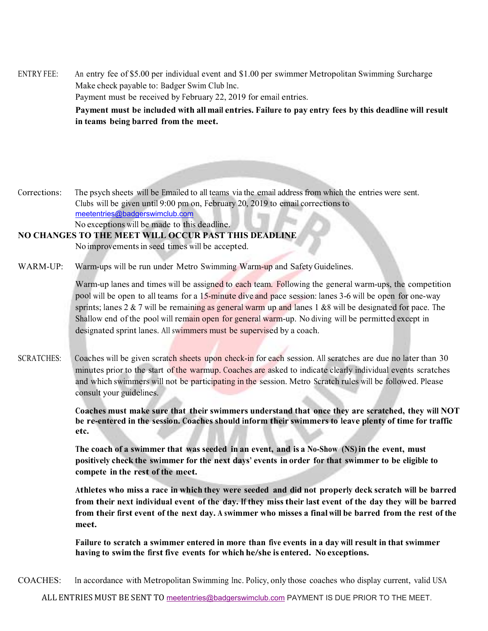ENTRY FEE: An entry fee of \$5.00 per individual event and \$1.00 per swimmer Metropolitan Swimming Surcharge Make check payable to: Badger Swim Club Inc. Payment must be received by February 22, 2019 for email entries. **Payment must be included with all mail entries. Failure to pay entry fees by this deadline will result in teams being barred from the meet.**

Corrections: The psych sheets will be Emailed to all teams via the email address from which the entries were sent. Clubs will be given until 9:00 pm on, February 20, 2019 to email corrections to meetentries@badgerswimclub.com No exceptions will be made to this deadline.

### **NO CHANGES TO THE MEET WILL OCCUR PAST THIS DEADLINE**

No improvements in seed times will be accepted.

WARM-UP: Warm-ups will be run under Metro Swimming Warm-up and Safety Guidelines.

Warm-up lanes and times will be assigned to each team. Following the general warm-ups, the competition pool will be open to all teams for a 15-minute dive and pace session: lanes 3-6 will be open for one-way sprints; lanes  $2 \& 7$  will be remaining as general warm up and lanes 1  $\& 8$  will be designated for pace. The Shallow end of the pool will remain open for general warm-up. No diving will be permitted except in designated sprint lanes. All swimmers must be supervised by a coach.

SCRATCHES: Coaches will be given scratch sheets upon check-in for each session. All scratches are due no later than 30 minutes prior to the start of the warmup. Coaches are asked to indicate clearly individual events scratches and which swimmers will not be participating in the session. Metro Scratch rules will be followed. Please consult your guidelines.

> **Coaches must make sure that their swimmers understand that once they are scratched, they will NOT be re-entered in the session. Coaches should inform their swimmers to leave plenty of time for traffic etc.**

**The coach of a swimmer that was seeded in an event, and is a No-Show (NS) in the event, must positively check the swimmer for the next days' events in order for that swimmer to be eligible to compete in the rest of the meet.** 

**Athletes who miss a race in which they were seeded and did not properly deck scratch will be barred from their next individual event of the day. If they miss their last event of the day they will be barred from their first event of the next day. A swimmer who misses a final will be barred from the rest of the meet.** 

**Failure to scratch a swimmer entered in more than five events in a day will result in that swimmer having to swim the first five events for which he/she is entered. No exceptions.**

COACHES: In accordance with Metropolitan Swimming Inc. Policy, only those coaches who display current, valid USA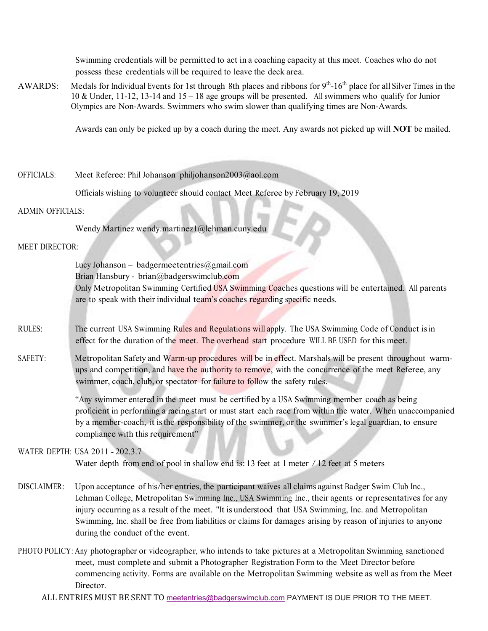Swimming credentials will be permitted to act in a coaching capacity at this meet. Coaches who do not possess these credentials will be required to leave the deck area.

AWARDS: Medals for Individual Events for 1st through 8th places and ribbons for  $9<sup>th</sup>$ -16<sup>th</sup> place for all Silver Times in the 10 & Under, 11-12, 13-14 and 15 – 18 age groups will be presented. All swimmers who qualify for Junior Olympics are Non-Awards. Swimmers who swim slower than qualifying times are Non-Awards.

Awards can only be picked up by a coach during the meet. Any awards not picked up will **NOT** be mailed.

#### OFFICIALS: Meet Referee: Phil Johanson philjohanson2003@aol.com

Officials wishing to volunteer should contact Meet Referee by February 19, 2019

#### ADMIN OFFICIALS:

Wendy Martinez wendy.martinez1@lehman.cuny.edu

#### MEET DIRECTOR:

Lucy Johanson – badgermeetentries@gmail.com Brian Hansbury - brian@badgerswimclub.com Only Metropolitan Swimming Certified USA Swimming Coaches questions will be entertained. All parents are to speak with their individual team's coaches regarding specific needs.

- RULES: The current USA Swimming Rules and Regulations will apply. The USA Swimming Code of Conduct is in effect for the duration of the meet. The overhead start procedure WILL BE USED for this meet.
- SAFETY: Metropolitan Safety and Warm-up procedures will be in effect. Marshals will be present throughout warmups and competition, and have the authority to remove, with the concurrence of the meet Referee, any swimmer, coach, club, or spectator for failure to follow the safety rules.

"Any swimmer entered in the meet must be certified by a USA Swimming member coach as being proficient in performing a racing start or must start each race from within the water. When unaccompanied by a member-coach, it is the responsibility of the swimmer, or the swimmer's legal guardian, to ensure compliance with this requirement"

#### WATER DEPTH: USA 2011 - 202.3.7

Water depth from end of pool in shallow end is: 13 feet at 1 meter / 12 feet at 5 meters

- DISCLAIMER: Upon acceptance of his/her entries, the participant waives all claims against Badger Swim Club Inc., Lehman College, Metropolitan Swimming Inc., USA Swimming Inc., their agents or representatives for any injury occurring as a result of the meet. "It is understood that USA Swimming, Inc. and Metropolitan Swimming, Inc. shall be free from liabilities or claims for damages arising by reason of injuries to anyone during the conduct of the event.
- PHOTO POLICY: Any photographer or videographer, who intends to take pictures at a Metropolitan Swimming sanctioned meet, must complete and submit a Photographer Registration Form to the Meet Director before commencing activity. Forms are available on the Metropolitan Swimming website as well as from the Meet Director.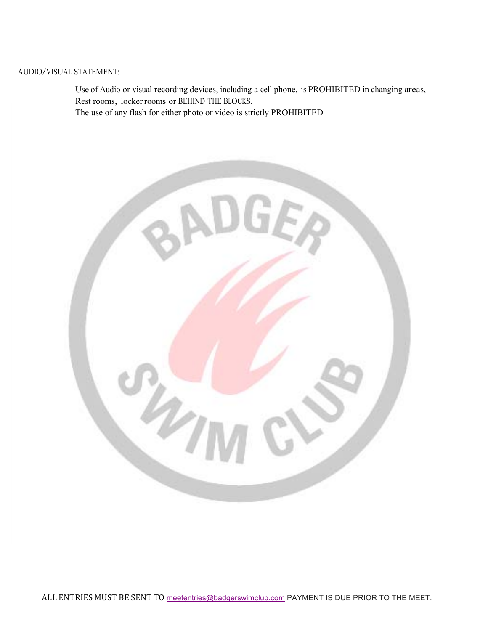#### AUDIO/VISUAL STATEMENT:

Use of Audio or visual recording devices, including a cell phone, is PROHIBITED in changing areas, Rest rooms, locker rooms or BEHIND THE BLOCKS.

The use of any flash for either photo or video is strictly PROHIBITED

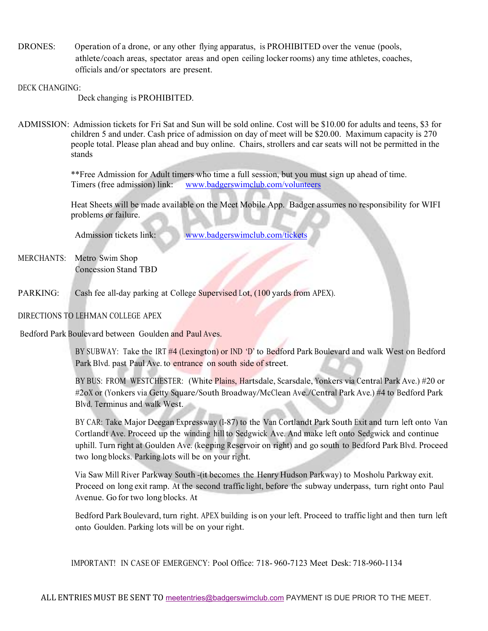DRONES: Operation of a drone, or any other flying apparatus, is PROHIBITED over the venue (pools, athlete/coach areas, spectator areas and open ceiling locker rooms) any time athletes, coaches, officials and/or spectators are present.

#### DECK CHANGING:

Deck changing is PROHIBITED.

ADMISSION: Admission tickets for Fri Sat and Sun will be sold online. Cost will be \$10.00 for adults and teens, \$3 for children 5 and under. Cash price of admission on day of meet will be \$20.00. Maximum capacity is 270 people total. Please plan ahead and buy online. Chairs, strollers and car seats will not be permitted in the stands

> \*\*Free Admission for Adult timers who time a full session, but you must sign up ahead of time. Timers (free admission) link: www.badgerswimclub.com/volunteers

 Heat Sheets will be made available on the Meet Mobile App. Badger assumes no responsibility for WIFI problems or failure.

Admission tickets link: www.badgerswimclub.com/tickets

- MERCHANTS: Metro Swim Shop Concession Stand TBD
- PARKING: Cash fee all-day parking at College Supervised Lot, (100 yards from APEX).

#### DIRECTIONS TO LEHMAN COLLEGE APEX

Bedford Park Boulevard between Goulden and Paul Aves.

BY SUBWAY: Take the IRT #4 (Lexington) or IND 'D' to Bedford Park Boulevard and walk West on Bedford Park Blvd. past Paul Ave. to entrance on south side of street.

BY BUS: FROM WESTCHESTER: (White Plains, Hartsdale, Scarsdale, Yonkers via Central Park Ave.) #20 or #2oX or (Yonkers via Getty Square/South Broadway/McClean Ave./Central Park Ave.) #4 to Bedford Park Blvd. Terminus and walk West.

BY CAR: Take Major Deegan Expressway (I-87) to the Van Cortlandt Park South Exit and turn left onto Van Cortlandt Ave. Proceed up the winding hill to Sedgwick Ave. And make left onto Sedgwick and continue uphill. Turn right at Goulden Ave. (keeping Reservoir on right) and go south to Bedford Park Blvd. Proceed two long blocks. Parking lots will be on your right.

Via Saw Mill River Parkway South -(it becomes the Henry Hudson Parkway) to Mosholu Parkway exit. Proceed on long exit ramp. At the second traffic light, before the subway underpass, turn right onto Paul Avenue. Go for two long blocks. At

Bedford Park Boulevard, turn right. APEX building is on your left. Proceed to traffic light and then turn left onto Goulden. Parking lots will be on your right.

IMPORTANT! IN CASE OF EMERGENCY: Pool Office: 718- 960-7123 Meet Desk: 718-960-1134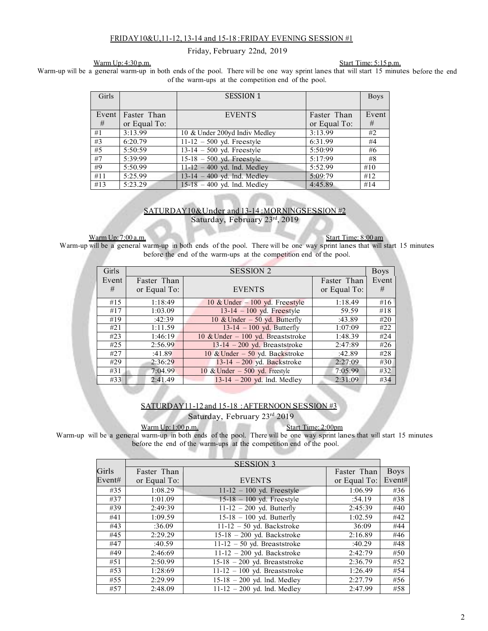#### FRIDAY 10&U, 11-12, 13-14 and 15-18 : FRIDAY EVENING SESSION #1

Friday, February 22nd, 2019

Warm Up: 4:30 p.m. Start Time: 5:15 p.m.

Warm-up will be a general warm-up in both ends of the pool. There will be one way sprint lanes that will start 15 minutes before the end of the warm-ups at the competition end of the pool.

| Girls |              | <b>SESSION 1</b>                |              | <b>Boys</b> |
|-------|--------------|---------------------------------|--------------|-------------|
|       |              |                                 |              |             |
| Event | Faster Than  | <b>EVENTS</b>                   | Faster Than  | Event       |
| #     | or Equal To: |                                 | or Equal To: | #           |
| #1    | 3:13.99      | 10 & Under 200yd Indiv Medley   | 3:13.99      | #2          |
| #3    | 6:20.79      | $11-12 - 500$ yd. Freestyle     | 6:31.99      | #4          |
| #5    | 5:50:59      | $13-14 - 500$ yd. Freestyle     | 5:50:99      | #6          |
| #7    | 5:39:99      | $15-18 - 500$ yd. Freestyle     | 5:17:99      | #8          |
| #9    | 5:50.99      | $11 - 12 - 400$ yd. Ind. Medley | 5:52.99      | #10         |
| #11   | 5:25.99      | $13-14 - 400$ yd. Ind. Medley   | 5:09:79      | #12         |
| #13   | 5:23.29      | $15-18 - 400$ yd. Ind. Medley   | 4:45.89      | #14         |

#### SATURDAY 10 & Under and 13-14: MORNING SESSION #2 Saturday, February 23rd, 2019

 Warm Up: 7:00 a.m. Start Time: 8:00 am Warm-up will be a general warm-up in both ends of the pool. There will be one way sprint lanes that will start 15 minutes before the end of the warm-ups at the competition end of the pool.

| Girls |              | <b>SESSION 2</b>                   |              | <b>Boys</b> |
|-------|--------------|------------------------------------|--------------|-------------|
| Event | Faster Than  |                                    | Faster Than  | Event       |
| #     | or Equal To: | <b>EVENTS</b>                      | or Equal To: | #           |
| #15   | 1:18:49      | 10 & Under $-100$ yd. Freestyle    | 1:18.49      | #16         |
| #17   | 1:03.09      | $13-14 - 100$ yd. Freestyle        | 59.59        | #18         |
| #19   | :42:39       | 10 & Under $-50$ yd. Butterfly     | :43.89       | #20         |
| #21   | 1:11.59      | $13-14 - 100$ yd. Butterfly        | 1:07:09      | #22         |
| #23   | 1:46:19      | 10 & Under $-100$ yd. Breaststroke | 1:48.39      | #24         |
| #25   | 2:56.99      | $13-14 - 200$ yd. Breaststroke     | 2:47:89      | #26         |
| #27   | :41.89       | 10 & Under $-50$ yd. Backstroke    | :42.89       | #28         |
| #29   | 2:36:29      | $13-14 - 200$ yd. Backstroke       | 2:27:09      | #30         |
| #31   | 7:04.99      | 10 & Under $-500$ yd. Freestyle    | 7:05.99      | #32         |
| #33   | 2:41.49      | $13-14 - 200$ yd. Ind. Medley      | 2:31:09      | #34         |

#### SATURDAY 11-12 and 15-18: AFTERNOON SESSION #3

Saturday, February 23rd 2019

Warm Up: 1:00 p.m. Start Time: 2:00pm

Warm-up will be a general warm-up in both ends of the pool. There will be one way sprint lanes that will start 15 minutes before the end of the warm-ups at the competition end of the pool.

|        |              | <b>SESSION 3</b>                |              |             |
|--------|--------------|---------------------------------|--------------|-------------|
| Girls  | Faster Than  |                                 | Faster Than  | <b>Boys</b> |
| Event# | or Equal To: | <b>EVENTS</b>                   | or Equal To: | Event#      |
| #35    | 1:08.29      | $11-12 - 100$ yd. Freestyle     | 1:06.99      | #36         |
| #37    | 1:01.09      | $15-18 - 100$ yd. Freestyle     | :54.19       | #38         |
| #39    | 2:49:39      | $11-12 - 200$ yd. Butterfly     | 2:45:39      | #40         |
| #41    | 1:09.59      | $15-18 - 100$ yd. Butterfly     | 1:02.59      | #42         |
| #43    | :36.09       | $11-12 - 50$ yd. Backstroke     | 36:09        | #44         |
| #45    | 2:29.29      | $15-18 - 200$ yd. Backstroke    | 2:16.89      | #46         |
| #47    | :40.59       | $11-12 - 50$ yd. Breaststroke   | :40.29       | #48         |
| #49    | 2:46:69      | $11-12 - 200$ yd. Backstroke    | 2:42:79      | #50         |
| #51    | 2:50.99      | $15-18 - 200$ yd. Breaststroke  | 2:36.79      | #52         |
| #53    | 1:28:69      | $11-12 - 100$ yd. Breaststroke  | 1:26.49      | #54         |
| #55    | 2:29.99      | $15-18 - 200$ yd. Ind. Medley   | 2:27.79      | #56         |
| #57    | 2:48.09      | $11 - 12 - 200$ yd. Ind. Medley | 2:47.99      | #58         |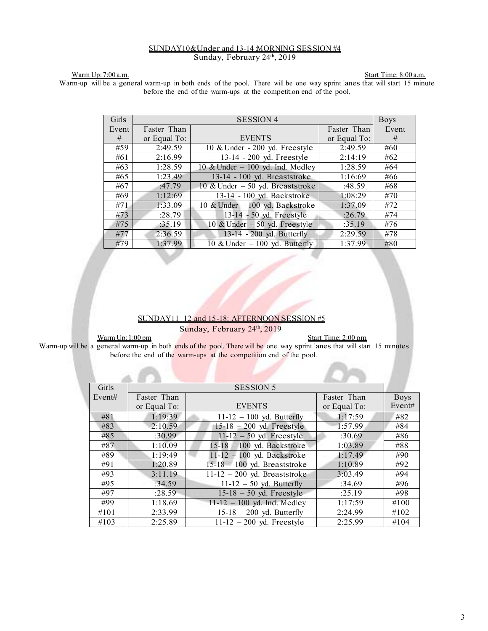#### SUNDAY10& Under and 13-14 : MORNING SESSION #4 Sunday, February 24th, 2019

Warm Up: 7:00 a.m. Start Time: 8:00 a.m. Warm-up will be a general warm-up in both ends of the pool. There will be one way sprint lanes that will start 15 minute before the end of the warm-ups at the competition end of the pool.

| Girls |              | <b>SESSION 4</b>                  |              | <b>Boys</b> |
|-------|--------------|-----------------------------------|--------------|-------------|
| Event | Faster Than  |                                   | Faster Than  | Event       |
| #     | or Equal To: | <b>EVENTS</b>                     | or Equal To: | #           |
| #59   | 2:49.59      | 10 & Under - 200 yd. Freestyle    | 2:49.59      | #60         |
| #61   | 2:16.99      | 13-14 - 200 yd. Freestyle         | 2:14:19      | #62         |
| #63   | 1:28.59      | 10 & Under $-100$ yd. Ind. Medley | 1:28.59      | #64         |
| #65   | 1:23.49      | 13-14 - 100 yd. Breaststroke      | 1:16:69      | #66         |
| #67   | :47.79       | 10 & Under $-50$ yd. Breaststroke | :48.59       | #68         |
| #69   | 1:12:69      | 13-14 - 100 yd. Backstroke        | 1:08:29      | #70         |
| #71   | 1:33.09      | 10 & Under - 100 yd. Backstroke   | 1:37.09      | #72         |
| #73   | :28.79       | 13-14 - 50 yd. Freestyle          | :26.79       | #74         |
| #75   | :35.19       | 10 & Under $-50$ yd. Freestyle    | :35.19       | #76         |
| #77   | 2:36.59      | 13-14 - 200 yd. Butterfly         | 2:29.59      | #78         |
| #79   | 1:37.99      | 10 & Under $-100$ yd. Butterfly   | 1:37.99      | #80         |

#### SUNDAY 11-12 and 15-18: AFTERNOON SESSION #5

Sunday, February 24th, 2019

Warm Up: 1:00 pm Start Time: 2:00 pm

Warm-up will be a general warm-up in both ends of the pool. There will be one way sprint lanes that will start 15 minutes before the end of the warm-ups at the competition end of the pool.

| Girls  |              | <b>SESSION 5</b>                |              |             |
|--------|--------------|---------------------------------|--------------|-------------|
| Event# | Faster Than  |                                 | Faster Than  | <b>Boys</b> |
|        | or Equal To: | <b>EVENTS</b>                   | or Equal To: | Event#      |
| #81    | 1:19:39      | $11-12 - 100$ yd. Butterfly     | 1:17:59      | #82         |
| #83    | 2:10.59      | $15-18 - 200$ yd. Freestyle     | 1:57.99      | #84         |
| #85    | :30.99       | $11-12 - 50$ yd. Freestyle      | :30.69       | #86         |
| #87    | 1:10.09      | $15-18 - 100$ yd. Backstroke    | 1:03.89      | #88         |
| #89    | 1:19:49      | $11-12 - 100$ yd. Backstroke    | 1:17.49      | #90         |
| #91    | 1:20.89      | $15-18 - 100$ yd. Breaststroke  | 1:10.89      | #92         |
| #93    | 3:11.19      | $11-12 - 200$ yd. Breaststroke  | 3:03.49      | #94         |
| #95    | :34.59       | $11-12 - 50$ yd. Butterfly      | :34.69       | #96         |
| #97    | :28.59       | $15-18-50$ yd. Freestyle        | :25.19       | #98         |
| #99    | 1:18.69      | $11 - 12 - 100$ yd. Ind. Medley | 1:17:59      | #100        |
| #101   | 2:33.99      | $15-18 - 200$ yd. Butterfly     | 2:24.99      | #102        |
| #103   | 2:25.89      | $11-12 - 200$ yd. Freestyle     | 2:25.99      | #104        |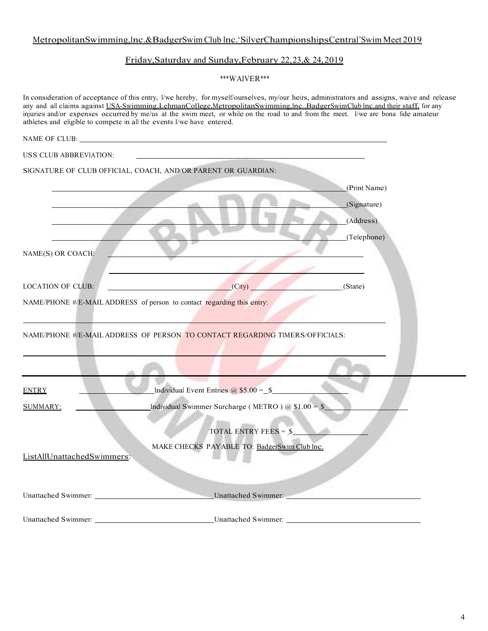### Metropolitan Swimming, Inc. &Badger Swim Club Inc. 'SilverChampionships Central' Swim Meet 2019

### Friday,Saturday and Sunday,February 22,23,& 24,2019

\*\*\*WAIVER\*\*\*

|                                         | In consideration of acceptance of this entry, I/we hereby, for myself/ourselves, my/our heirs, administrators and assigns, waive and release<br>any and all claims against USA-Swimming,LehmanCollege,MetropolitanSwimming,Inc.,BadgerSwimClub Inc.and their staff, for any<br>injuries and/or expenses occurred by me/us at the swim meet, or while on the road to and from the meet. I/we are bona fide amateur<br>athletes and eligible to compete in all the events I/we have entered. |  |
|-----------------------------------------|--------------------------------------------------------------------------------------------------------------------------------------------------------------------------------------------------------------------------------------------------------------------------------------------------------------------------------------------------------------------------------------------------------------------------------------------------------------------------------------------|--|
|                                         |                                                                                                                                                                                                                                                                                                                                                                                                                                                                                            |  |
| USS CLUB ABBREVIATION:                  | the control of the control of the control of the control of the control of                                                                                                                                                                                                                                                                                                                                                                                                                 |  |
|                                         | SIGNATURE OF CLUB OFFICIAL, COACH, AND/OR PARENT OR GUARDIAN:<br>(Print Name)<br>(Signature)<br>(Address)                                                                                                                                                                                                                                                                                                                                                                                  |  |
| NAME(S) OR COACH:                       | (Telephone)                                                                                                                                                                                                                                                                                                                                                                                                                                                                                |  |
| <b>LOCATION OF CLUB:</b>                | (City)<br>(State)                                                                                                                                                                                                                                                                                                                                                                                                                                                                          |  |
|                                         | NAME/PHONE #/E-MAIL ADDRESS of person to contact regarding this entry:                                                                                                                                                                                                                                                                                                                                                                                                                     |  |
|                                         | NAME/PHONE #/E-MAIL ADDRESS OF PERSON TO CONTACT REGARDING TIMERS/OFFICIALS:                                                                                                                                                                                                                                                                                                                                                                                                               |  |
| <b>ENTRY</b>                            | Individual Event Entries $\omega$ \$5.00 = \$                                                                                                                                                                                                                                                                                                                                                                                                                                              |  |
| <b>SUMMARY:</b>                         | Individual Swimmer Surcharge (METRO) $\omega$ \$1.00 = \$                                                                                                                                                                                                                                                                                                                                                                                                                                  |  |
| ListAllUnattachedSwimmers:              | TOTAL ENTRY FEES = $\frac{1}{2}$<br>MAKE CHECKS PAYABLE TO: BadgerSwim Club Inc.                                                                                                                                                                                                                                                                                                                                                                                                           |  |
|                                         | Unattached Swimmer:                                                                                                                                                                                                                                                                                                                                                                                                                                                                        |  |
| Unattached Swimmer: Unattached Swimmer: | Unattached Swimmer:                                                                                                                                                                                                                                                                                                                                                                                                                                                                        |  |